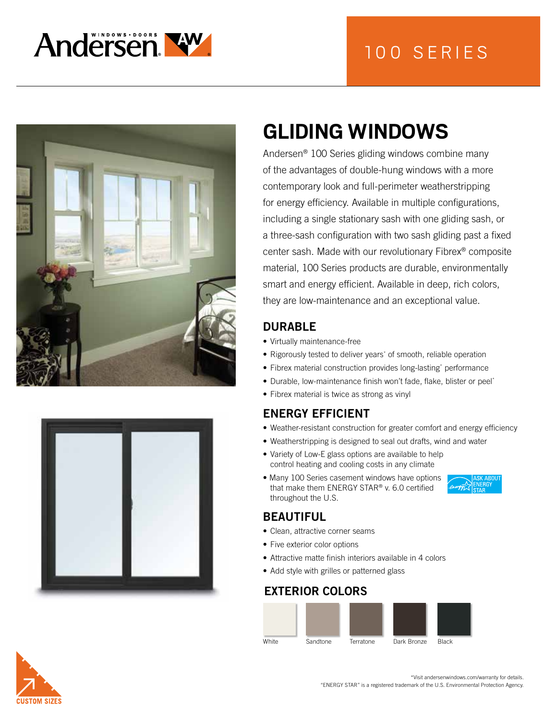







# **GLIDING WINDOWS**

Andersen® 100 Series gliding windows combine many of the advantages of double-hung windows with a more contemporary look and full-perimeter weatherstripping for energy efficiency. Available in multiple configurations, including a single stationary sash with one gliding sash, or a three-sash configuration with two sash gliding past a fixed center sash. Made with our revolutionary Fibrex® composite material, 100 Series products are durable, environmentally smart and energy efficient. Available in deep, rich colors, they are low-maintenance and an exceptional value.

#### DURABLE

- Virtually maintenance-free
- Rigorously tested to deliver years\* of smooth, reliable operation
- Fibrex material construction provides long-lasting\* performance
- Durable, low-maintenance finish won't fade, flake, blister or peel\*
- Fibrex material is twice as strong as vinyl

## ENERGY EFFICIENT

- Weather-resistant construction for greater comfort and energy efficiency
- Weatherstripping is designed to seal out drafts, wind and water
- Variety of Low-E glass options are available to help control heating and cooling costs in any climate
- Many 100 Series casement windows have options that make them ENERGY STAR® v. 6.0 certified throughout the U.S.

#### BEAUTIFUL

- Clean, attractive corner seams
- Five exterior color options
- Attractive matte finish interiors available in 4 colors
- Add style with grilles or patterned glass

#### EXTERIOR COLORS